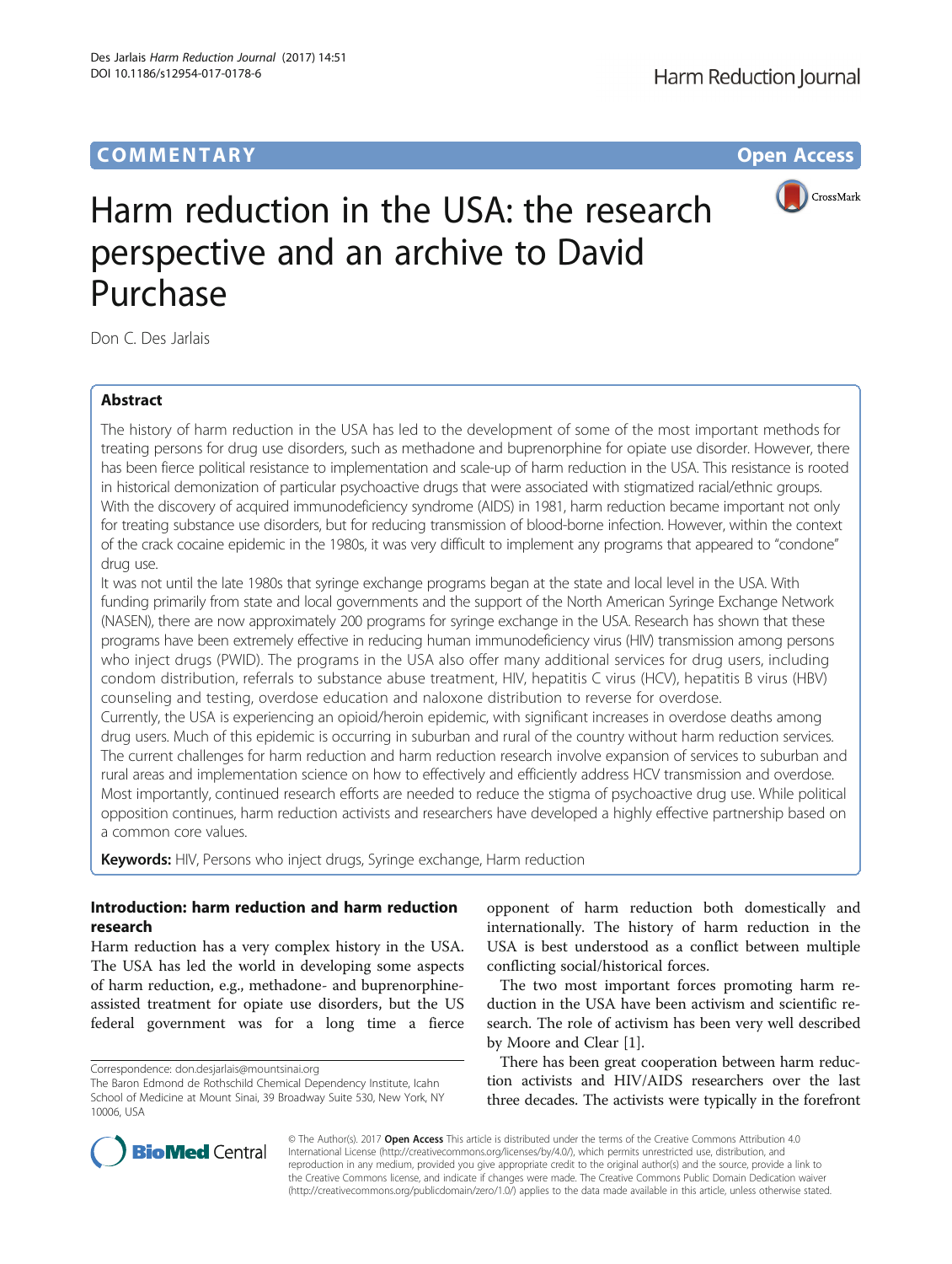# **COMMENTARY COMMENTARY Open Access**



# Harm reduction in the USA: the research perspective and an archive to David Purchase

Don C. Des Jarlais

## Abstract

The history of harm reduction in the USA has led to the development of some of the most important methods for treating persons for drug use disorders, such as methadone and buprenorphine for opiate use disorder. However, there has been fierce political resistance to implementation and scale-up of harm reduction in the USA. This resistance is rooted in historical demonization of particular psychoactive drugs that were associated with stigmatized racial/ethnic groups. With the discovery of acquired immunodeficiency syndrome (AIDS) in 1981, harm reduction became important not only for treating substance use disorders, but for reducing transmission of blood-borne infection. However, within the context of the crack cocaine epidemic in the 1980s, it was very difficult to implement any programs that appeared to "condone" drug use.

It was not until the late 1980s that syringe exchange programs began at the state and local level in the USA. With funding primarily from state and local governments and the support of the North American Syringe Exchange Network (NASEN), there are now approximately 200 programs for syringe exchange in the USA. Research has shown that these programs have been extremely effective in reducing human immunodeficiency virus (HIV) transmission among persons who inject drugs (PWID). The programs in the USA also offer many additional services for drug users, including condom distribution, referrals to substance abuse treatment, HIV, hepatitis C virus (HCV), hepatitis B virus (HBV) counseling and testing, overdose education and naloxone distribution to reverse for overdose.

Currently, the USA is experiencing an opioid/heroin epidemic, with significant increases in overdose deaths among drug users. Much of this epidemic is occurring in suburban and rural of the country without harm reduction services. The current challenges for harm reduction and harm reduction research involve expansion of services to suburban and rural areas and implementation science on how to effectively and efficiently address HCV transmission and overdose. Most importantly, continued research efforts are needed to reduce the stigma of psychoactive drug use. While political opposition continues, harm reduction activists and researchers have developed a highly effective partnership based on a common core values.

Keywords: HIV, Persons who inject drugs, Syringe exchange, Harm reduction

## Introduction: harm reduction and harm reduction research

Harm reduction has a very complex history in the USA. The USA has led the world in developing some aspects of harm reduction, e.g., methadone- and buprenorphineassisted treatment for opiate use disorders, but the US federal government was for a long time a fierce

Correspondence: [don.desjarlais@mountsinai.org](mailto:don.desjarlais@mountsinai.org)

opponent of harm reduction both domestically and internationally. The history of harm reduction in the USA is best understood as a conflict between multiple conflicting social/historical forces.

The two most important forces promoting harm reduction in the USA have been activism and scientific research. The role of activism has been very well described by Moore and Clear [\[1](#page-5-0)].

There has been great cooperation between harm reduction activists and HIV/AIDS researchers over the last three decades. The activists were typically in the forefront



© The Author(s). 2017 **Open Access** This article is distributed under the terms of the Creative Commons Attribution 4.0 International License [\(http://creativecommons.org/licenses/by/4.0/](http://creativecommons.org/licenses/by/4.0/)), which permits unrestricted use, distribution, and reproduction in any medium, provided you give appropriate credit to the original author(s) and the source, provide a link to the Creative Commons license, and indicate if changes were made. The Creative Commons Public Domain Dedication waiver [\(http://creativecommons.org/publicdomain/zero/1.0/](http://creativecommons.org/publicdomain/zero/1.0/)) applies to the data made available in this article, unless otherwise stated.

The Baron Edmond de Rothschild Chemical Dependency Institute, Icahn School of Medicine at Mount Sinai, 39 Broadway Suite 530, New York, NY 10006, USA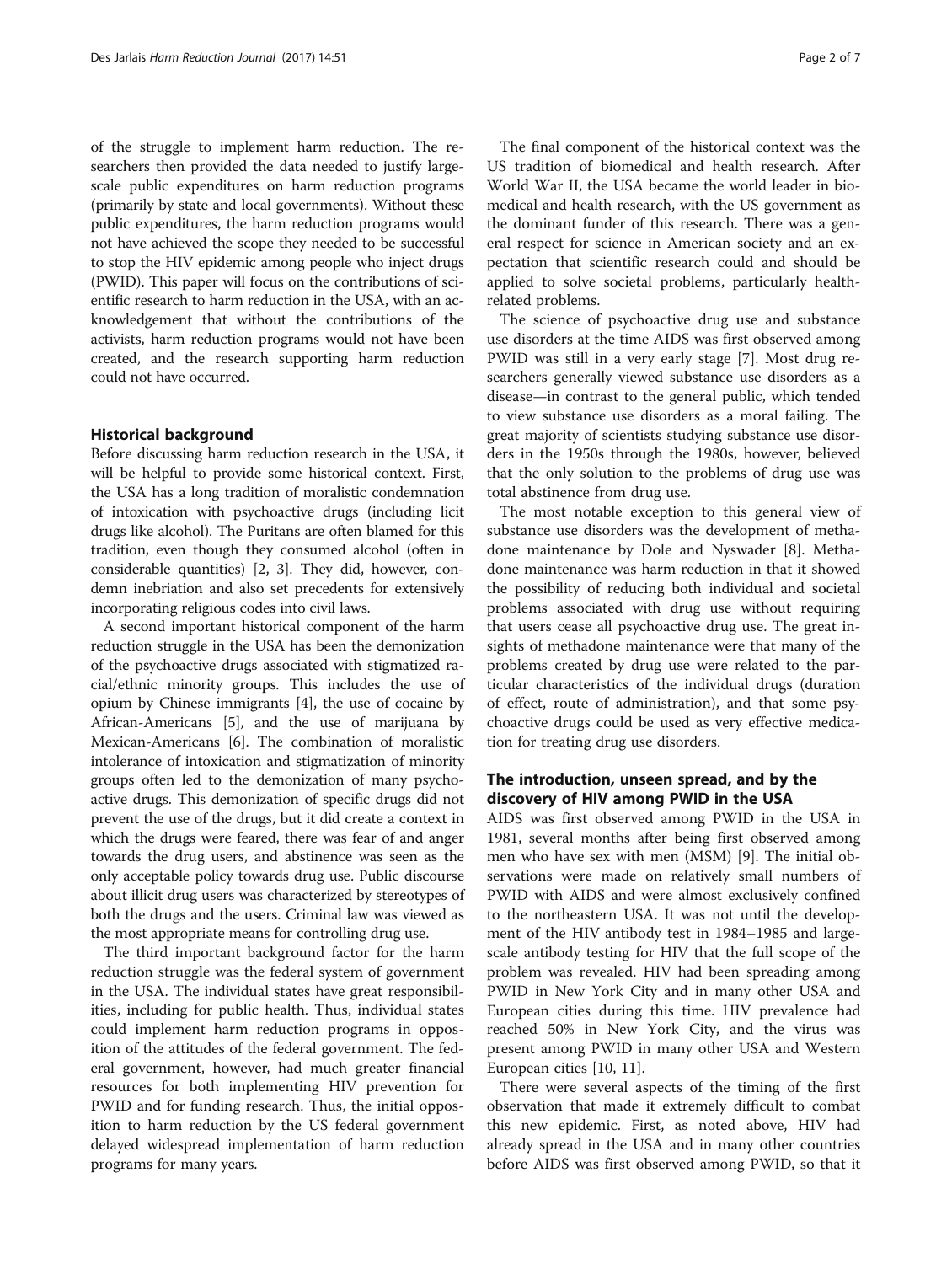of the struggle to implement harm reduction. The researchers then provided the data needed to justify largescale public expenditures on harm reduction programs (primarily by state and local governments). Without these public expenditures, the harm reduction programs would not have achieved the scope they needed to be successful to stop the HIV epidemic among people who inject drugs (PWID). This paper will focus on the contributions of scientific research to harm reduction in the USA, with an acknowledgement that without the contributions of the activists, harm reduction programs would not have been created, and the research supporting harm reduction could not have occurred.

### Historical background

Before discussing harm reduction research in the USA, it will be helpful to provide some historical context. First, the USA has a long tradition of moralistic condemnation of intoxication with psychoactive drugs (including licit drugs like alcohol). The Puritans are often blamed for this tradition, even though they consumed alcohol (often in considerable quantities) [\[2](#page-5-0), [3](#page-5-0)]. They did, however, condemn inebriation and also set precedents for extensively incorporating religious codes into civil laws.

A second important historical component of the harm reduction struggle in the USA has been the demonization of the psychoactive drugs associated with stigmatized racial/ethnic minority groups. This includes the use of opium by Chinese immigrants [\[4](#page-5-0)], the use of cocaine by African-Americans [[5](#page-5-0)], and the use of marijuana by Mexican-Americans [[6\]](#page-5-0). The combination of moralistic intolerance of intoxication and stigmatization of minority groups often led to the demonization of many psychoactive drugs. This demonization of specific drugs did not prevent the use of the drugs, but it did create a context in which the drugs were feared, there was fear of and anger towards the drug users, and abstinence was seen as the only acceptable policy towards drug use. Public discourse about illicit drug users was characterized by stereotypes of both the drugs and the users. Criminal law was viewed as the most appropriate means for controlling drug use.

The third important background factor for the harm reduction struggle was the federal system of government in the USA. The individual states have great responsibilities, including for public health. Thus, individual states could implement harm reduction programs in opposition of the attitudes of the federal government. The federal government, however, had much greater financial resources for both implementing HIV prevention for PWID and for funding research. Thus, the initial opposition to harm reduction by the US federal government delayed widespread implementation of harm reduction programs for many years.

The final component of the historical context was the US tradition of biomedical and health research. After World War II, the USA became the world leader in biomedical and health research, with the US government as the dominant funder of this research. There was a general respect for science in American society and an expectation that scientific research could and should be applied to solve societal problems, particularly healthrelated problems.

The science of psychoactive drug use and substance use disorders at the time AIDS was first observed among PWID was still in a very early stage [[7\]](#page-5-0). Most drug researchers generally viewed substance use disorders as a disease—in contrast to the general public, which tended to view substance use disorders as a moral failing. The great majority of scientists studying substance use disorders in the 1950s through the 1980s, however, believed that the only solution to the problems of drug use was total abstinence from drug use.

The most notable exception to this general view of substance use disorders was the development of methadone maintenance by Dole and Nyswader [[8](#page-5-0)]. Methadone maintenance was harm reduction in that it showed the possibility of reducing both individual and societal problems associated with drug use without requiring that users cease all psychoactive drug use. The great insights of methadone maintenance were that many of the problems created by drug use were related to the particular characteristics of the individual drugs (duration of effect, route of administration), and that some psychoactive drugs could be used as very effective medication for treating drug use disorders.

## The introduction, unseen spread, and by the discovery of HIV among PWID in the USA

AIDS was first observed among PWID in the USA in 1981, several months after being first observed among men who have sex with men (MSM) [[9\]](#page-5-0). The initial observations were made on relatively small numbers of PWID with AIDS and were almost exclusively confined to the northeastern USA. It was not until the development of the HIV antibody test in 1984–1985 and largescale antibody testing for HIV that the full scope of the problem was revealed. HIV had been spreading among PWID in New York City and in many other USA and European cities during this time. HIV prevalence had reached 50% in New York City, and the virus was present among PWID in many other USA and Western European cities [[10, 11](#page-5-0)].

There were several aspects of the timing of the first observation that made it extremely difficult to combat this new epidemic. First, as noted above, HIV had already spread in the USA and in many other countries before AIDS was first observed among PWID, so that it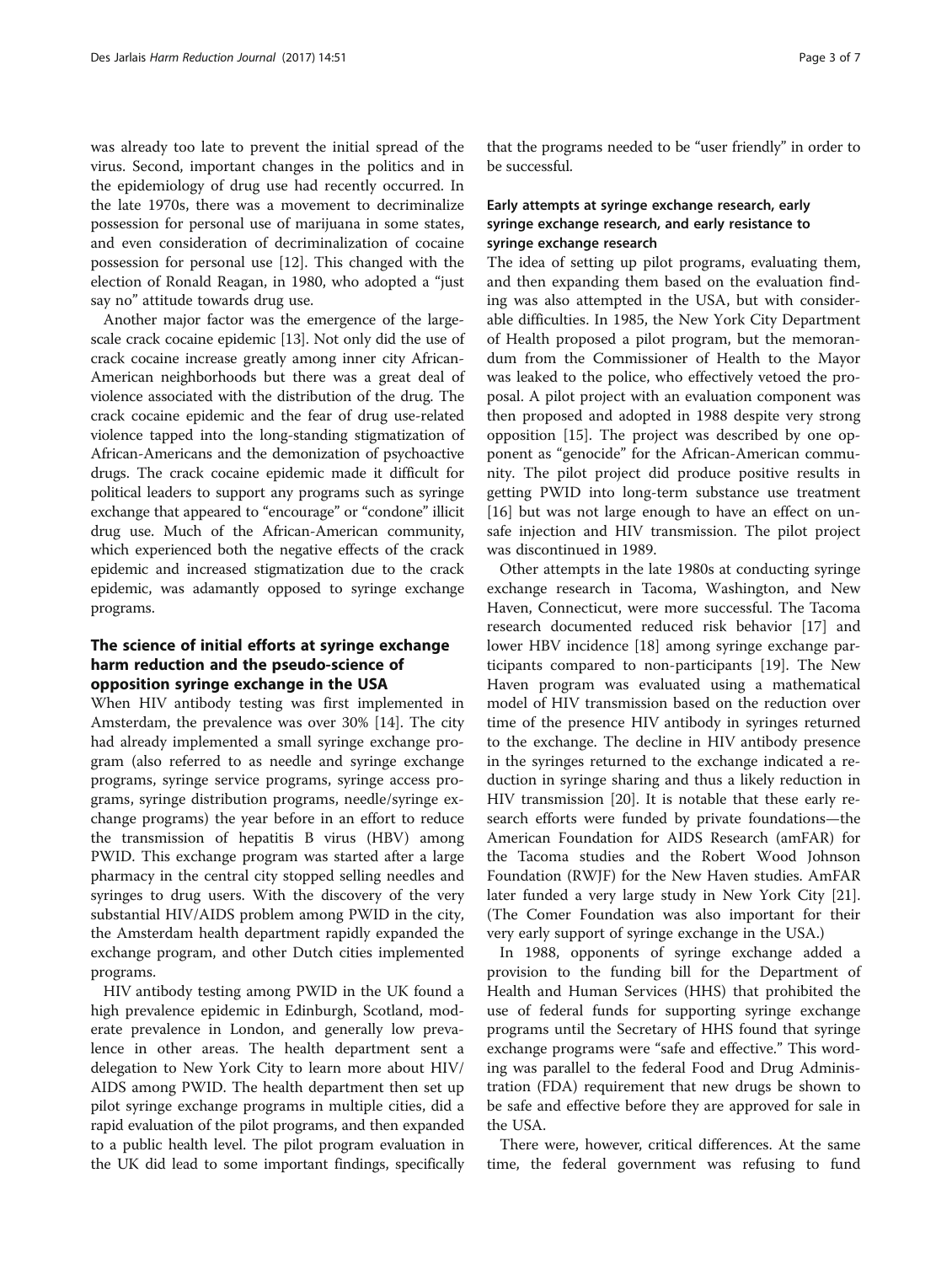was already too late to prevent the initial spread of the virus. Second, important changes in the politics and in the epidemiology of drug use had recently occurred. In the late 1970s, there was a movement to decriminalize possession for personal use of marijuana in some states, and even consideration of decriminalization of cocaine possession for personal use [[12](#page-5-0)]. This changed with the election of Ronald Reagan, in 1980, who adopted a "just say no" attitude towards drug use.

Another major factor was the emergence of the largescale crack cocaine epidemic [[13](#page-5-0)]. Not only did the use of crack cocaine increase greatly among inner city African-American neighborhoods but there was a great deal of violence associated with the distribution of the drug. The crack cocaine epidemic and the fear of drug use-related violence tapped into the long-standing stigmatization of African-Americans and the demonization of psychoactive drugs. The crack cocaine epidemic made it difficult for political leaders to support any programs such as syringe exchange that appeared to "encourage" or "condone" illicit drug use. Much of the African-American community, which experienced both the negative effects of the crack epidemic and increased stigmatization due to the crack epidemic, was adamantly opposed to syringe exchange programs.

## The science of initial efforts at syringe exchange harm reduction and the pseudo-science of opposition syringe exchange in the USA

When HIV antibody testing was first implemented in Amsterdam, the prevalence was over 30% [\[14](#page-5-0)]. The city had already implemented a small syringe exchange program (also referred to as needle and syringe exchange programs, syringe service programs, syringe access programs, syringe distribution programs, needle/syringe exchange programs) the year before in an effort to reduce the transmission of hepatitis B virus (HBV) among PWID. This exchange program was started after a large pharmacy in the central city stopped selling needles and syringes to drug users. With the discovery of the very substantial HIV/AIDS problem among PWID in the city, the Amsterdam health department rapidly expanded the exchange program, and other Dutch cities implemented programs.

HIV antibody testing among PWID in the UK found a high prevalence epidemic in Edinburgh, Scotland, moderate prevalence in London, and generally low prevalence in other areas. The health department sent a delegation to New York City to learn more about HIV/ AIDS among PWID. The health department then set up pilot syringe exchange programs in multiple cities, did a rapid evaluation of the pilot programs, and then expanded to a public health level. The pilot program evaluation in the UK did lead to some important findings, specifically

that the programs needed to be "user friendly" in order to be successful.

## Early attempts at syringe exchange research, early syringe exchange research, and early resistance to syringe exchange research

The idea of setting up pilot programs, evaluating them, and then expanding them based on the evaluation finding was also attempted in the USA, but with considerable difficulties. In 1985, the New York City Department of Health proposed a pilot program, but the memorandum from the Commissioner of Health to the Mayor was leaked to the police, who effectively vetoed the proposal. A pilot project with an evaluation component was then proposed and adopted in 1988 despite very strong opposition [[15](#page-5-0)]. The project was described by one opponent as "genocide" for the African-American community. The pilot project did produce positive results in getting PWID into long-term substance use treatment [[16\]](#page-5-0) but was not large enough to have an effect on unsafe injection and HIV transmission. The pilot project was discontinued in 1989.

Other attempts in the late 1980s at conducting syringe exchange research in Tacoma, Washington, and New Haven, Connecticut, were more successful. The Tacoma research documented reduced risk behavior [[17](#page-5-0)] and lower HBV incidence [\[18\]](#page-5-0) among syringe exchange participants compared to non-participants [[19\]](#page-5-0). The New Haven program was evaluated using a mathematical model of HIV transmission based on the reduction over time of the presence HIV antibody in syringes returned to the exchange. The decline in HIV antibody presence in the syringes returned to the exchange indicated a reduction in syringe sharing and thus a likely reduction in HIV transmission [\[20\]](#page-5-0). It is notable that these early research efforts were funded by private foundations—the American Foundation for AIDS Research (amFAR) for the Tacoma studies and the Robert Wood Johnson Foundation (RWJF) for the New Haven studies. AmFAR later funded a very large study in New York City [\[21](#page-5-0)]. (The Comer Foundation was also important for their very early support of syringe exchange in the USA.)

In 1988, opponents of syringe exchange added a provision to the funding bill for the Department of Health and Human Services (HHS) that prohibited the use of federal funds for supporting syringe exchange programs until the Secretary of HHS found that syringe exchange programs were "safe and effective." This wording was parallel to the federal Food and Drug Administration (FDA) requirement that new drugs be shown to be safe and effective before they are approved for sale in the USA.

There were, however, critical differences. At the same time, the federal government was refusing to fund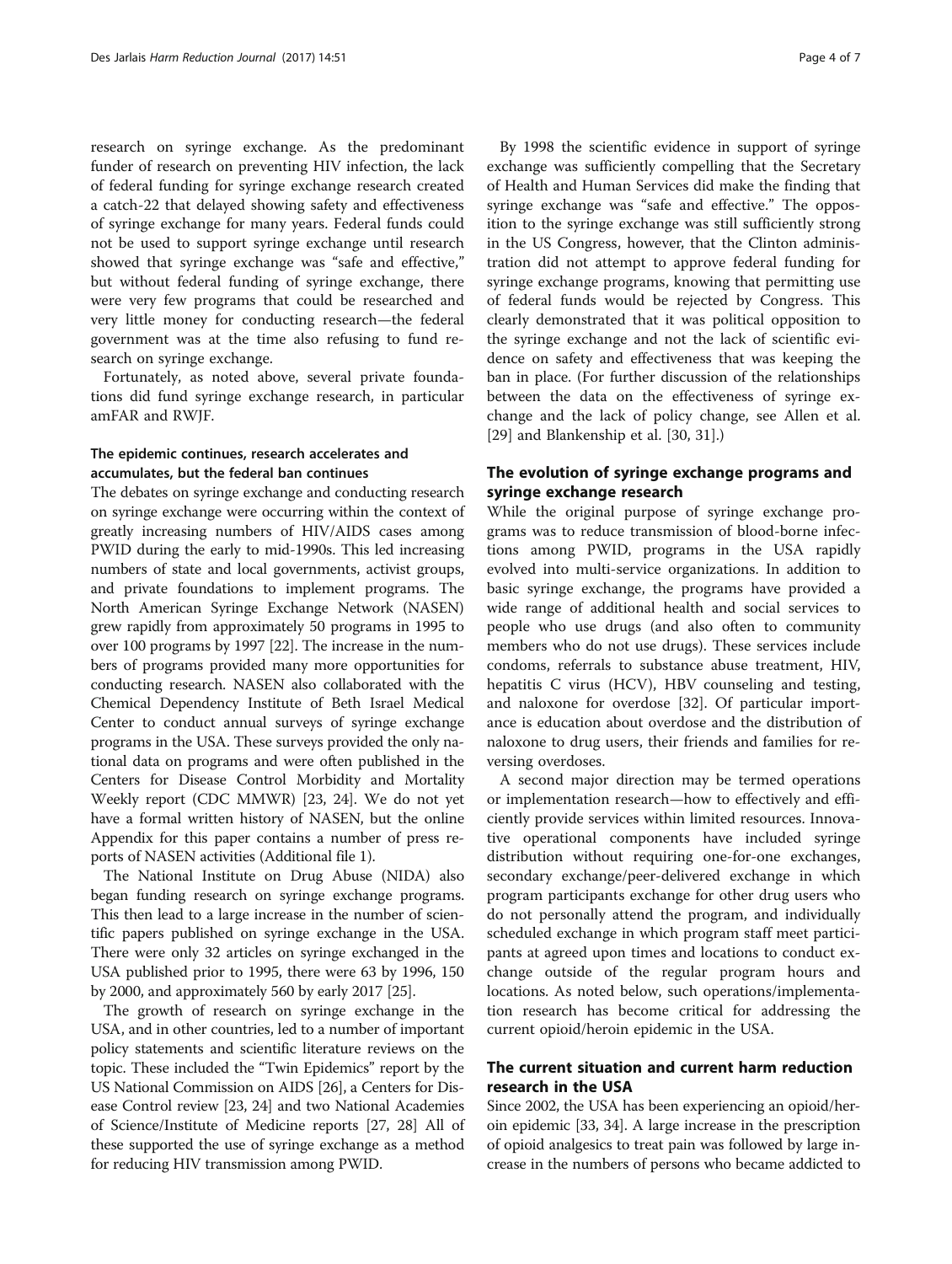research on syringe exchange. As the predominant funder of research on preventing HIV infection, the lack of federal funding for syringe exchange research created a catch-22 that delayed showing safety and effectiveness of syringe exchange for many years. Federal funds could not be used to support syringe exchange until research showed that syringe exchange was "safe and effective," but without federal funding of syringe exchange, there were very few programs that could be researched and very little money for conducting research—the federal government was at the time also refusing to fund research on syringe exchange.

Fortunately, as noted above, several private foundations did fund syringe exchange research, in particular amFAR and RWJF.

## The epidemic continues, research accelerates and accumulates, but the federal ban continues

The debates on syringe exchange and conducting research on syringe exchange were occurring within the context of greatly increasing numbers of HIV/AIDS cases among PWID during the early to mid-1990s. This led increasing numbers of state and local governments, activist groups, and private foundations to implement programs. The North American Syringe Exchange Network (NASEN) grew rapidly from approximately 50 programs in 1995 to over 100 programs by 1997 [\[22](#page-5-0)]. The increase in the numbers of programs provided many more opportunities for conducting research. NASEN also collaborated with the Chemical Dependency Institute of Beth Israel Medical Center to conduct annual surveys of syringe exchange programs in the USA. These surveys provided the only national data on programs and were often published in the Centers for Disease Control Morbidity and Mortality Weekly report (CDC MMWR) [[23](#page-5-0), [24](#page-5-0)]. We do not yet have a formal written history of NASEN, but the online Appendix for this paper contains a number of press reports of NASEN activities (Additional file [1\)](#page-5-0).

The National Institute on Drug Abuse (NIDA) also began funding research on syringe exchange programs. This then lead to a large increase in the number of scientific papers published on syringe exchange in the USA. There were only 32 articles on syringe exchanged in the USA published prior to 1995, there were 63 by 1996, 150 by 2000, and approximately 560 by early 2017 [\[25\]](#page-5-0).

The growth of research on syringe exchange in the USA, and in other countries, led to a number of important policy statements and scientific literature reviews on the topic. These included the "Twin Epidemics" report by the US National Commission on AIDS [[26\]](#page-5-0), a Centers for Disease Control review [\[23, 24](#page-5-0)] and two National Academies of Science/Institute of Medicine reports [\[27, 28](#page-5-0)] All of these supported the use of syringe exchange as a method for reducing HIV transmission among PWID.

By 1998 the scientific evidence in support of syringe exchange was sufficiently compelling that the Secretary of Health and Human Services did make the finding that syringe exchange was "safe and effective." The opposition to the syringe exchange was still sufficiently strong in the US Congress, however, that the Clinton administration did not attempt to approve federal funding for syringe exchange programs, knowing that permitting use of federal funds would be rejected by Congress. This clearly demonstrated that it was political opposition to the syringe exchange and not the lack of scientific evidence on safety and effectiveness that was keeping the ban in place. (For further discussion of the relationships between the data on the effectiveness of syringe exchange and the lack of policy change, see Allen et al. [[29\]](#page-5-0) and Blankenship et al. [\[30](#page-5-0), [31\]](#page-6-0).)

## The evolution of syringe exchange programs and syringe exchange research

While the original purpose of syringe exchange programs was to reduce transmission of blood-borne infections among PWID, programs in the USA rapidly evolved into multi-service organizations. In addition to basic syringe exchange, the programs have provided a wide range of additional health and social services to people who use drugs (and also often to community members who do not use drugs). These services include condoms, referrals to substance abuse treatment, HIV, hepatitis C virus (HCV), HBV counseling and testing, and naloxone for overdose [[32](#page-6-0)]. Of particular importance is education about overdose and the distribution of naloxone to drug users, their friends and families for reversing overdoses.

A second major direction may be termed operations or implementation research—how to effectively and efficiently provide services within limited resources. Innovative operational components have included syringe distribution without requiring one-for-one exchanges, secondary exchange/peer-delivered exchange in which program participants exchange for other drug users who do not personally attend the program, and individually scheduled exchange in which program staff meet participants at agreed upon times and locations to conduct exchange outside of the regular program hours and locations. As noted below, such operations/implementation research has become critical for addressing the current opioid/heroin epidemic in the USA.

## The current situation and current harm reduction research in the USA

Since 2002, the USA has been experiencing an opioid/heroin epidemic [\[33, 34](#page-6-0)]. A large increase in the prescription of opioid analgesics to treat pain was followed by large increase in the numbers of persons who became addicted to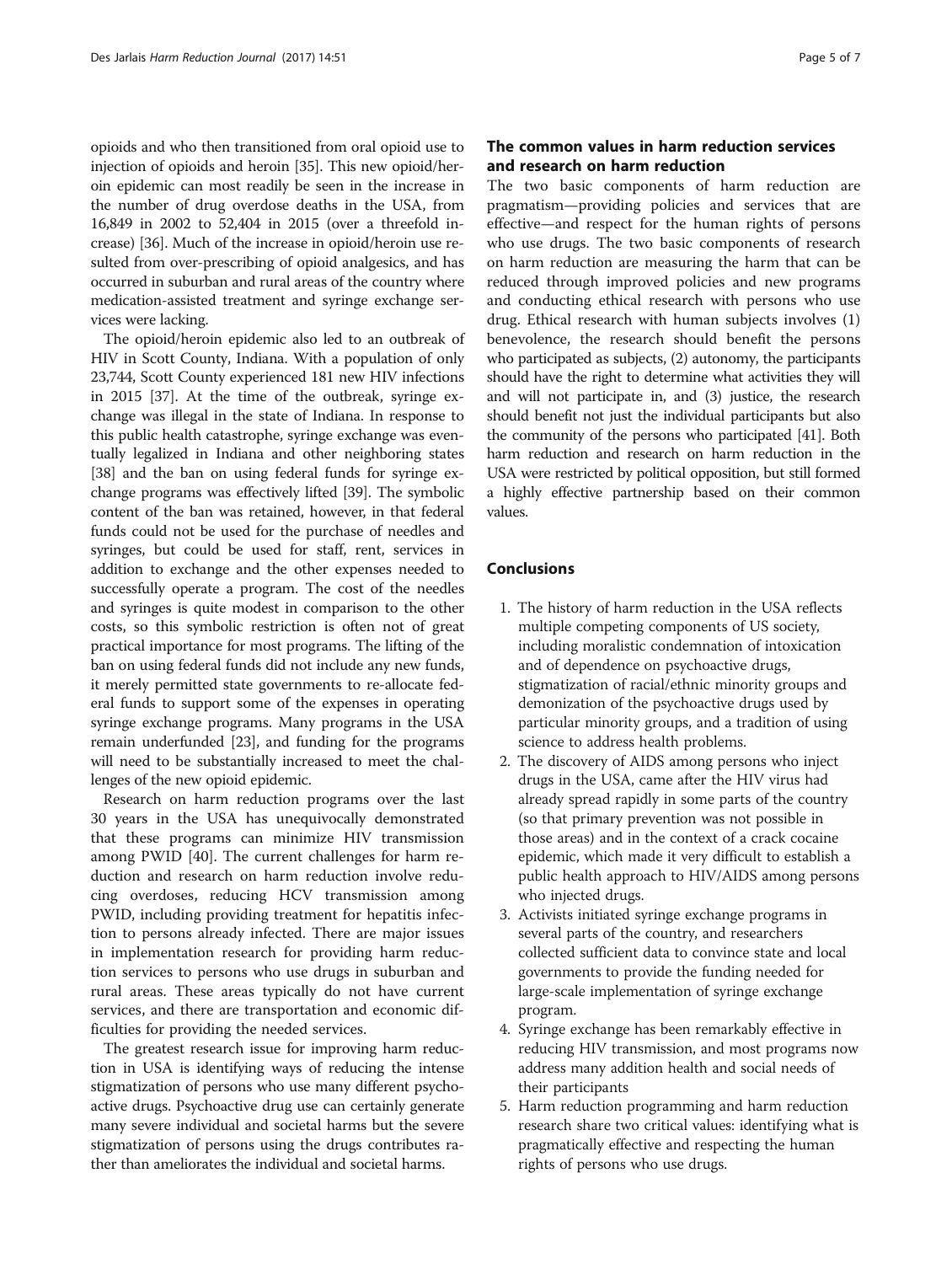opioids and who then transitioned from oral opioid use to injection of opioids and heroin [\[35\]](#page-6-0). This new opioid/heroin epidemic can most readily be seen in the increase in the number of drug overdose deaths in the USA, from 16,849 in 2002 to 52,404 in 2015 (over a threefold increase) [\[36\]](#page-6-0). Much of the increase in opioid/heroin use resulted from over-prescribing of opioid analgesics, and has occurred in suburban and rural areas of the country where medication-assisted treatment and syringe exchange services were lacking.

The opioid/heroin epidemic also led to an outbreak of HIV in Scott County, Indiana. With a population of only 23,744, Scott County experienced 181 new HIV infections in 2015 [[37](#page-6-0)]. At the time of the outbreak, syringe exchange was illegal in the state of Indiana. In response to this public health catastrophe, syringe exchange was eventually legalized in Indiana and other neighboring states [[38](#page-6-0)] and the ban on using federal funds for syringe exchange programs was effectively lifted [[39](#page-6-0)]. The symbolic content of the ban was retained, however, in that federal funds could not be used for the purchase of needles and syringes, but could be used for staff, rent, services in addition to exchange and the other expenses needed to successfully operate a program. The cost of the needles and syringes is quite modest in comparison to the other costs, so this symbolic restriction is often not of great practical importance for most programs. The lifting of the ban on using federal funds did not include any new funds, it merely permitted state governments to re-allocate federal funds to support some of the expenses in operating syringe exchange programs. Many programs in the USA remain underfunded [[23](#page-5-0)], and funding for the programs will need to be substantially increased to meet the challenges of the new opioid epidemic.

Research on harm reduction programs over the last 30 years in the USA has unequivocally demonstrated that these programs can minimize HIV transmission among PWID [[40\]](#page-6-0). The current challenges for harm reduction and research on harm reduction involve reducing overdoses, reducing HCV transmission among PWID, including providing treatment for hepatitis infection to persons already infected. There are major issues in implementation research for providing harm reduction services to persons who use drugs in suburban and rural areas. These areas typically do not have current services, and there are transportation and economic difficulties for providing the needed services.

The greatest research issue for improving harm reduction in USA is identifying ways of reducing the intense stigmatization of persons who use many different psychoactive drugs. Psychoactive drug use can certainly generate many severe individual and societal harms but the severe stigmatization of persons using the drugs contributes rather than ameliorates the individual and societal harms.

## The common values in harm reduction services and research on harm reduction

The two basic components of harm reduction are pragmatism—providing policies and services that are effective—and respect for the human rights of persons who use drugs. The two basic components of research on harm reduction are measuring the harm that can be reduced through improved policies and new programs and conducting ethical research with persons who use drug. Ethical research with human subjects involves (1) benevolence, the research should benefit the persons who participated as subjects, (2) autonomy, the participants should have the right to determine what activities they will and will not participate in, and (3) justice, the research should benefit not just the individual participants but also the community of the persons who participated [\[41](#page-6-0)]. Both harm reduction and research on harm reduction in the USA were restricted by political opposition, but still formed a highly effective partnership based on their common values.

## Conclusions

- 1. The history of harm reduction in the USA reflects multiple competing components of US society, including moralistic condemnation of intoxication and of dependence on psychoactive drugs, stigmatization of racial/ethnic minority groups and demonization of the psychoactive drugs used by particular minority groups, and a tradition of using science to address health problems.
- 2. The discovery of AIDS among persons who inject drugs in the USA, came after the HIV virus had already spread rapidly in some parts of the country (so that primary prevention was not possible in those areas) and in the context of a crack cocaine epidemic, which made it very difficult to establish a public health approach to HIV/AIDS among persons who injected drugs.
- 3. Activists initiated syringe exchange programs in several parts of the country, and researchers collected sufficient data to convince state and local governments to provide the funding needed for large-scale implementation of syringe exchange program.
- 4. Syringe exchange has been remarkably effective in reducing HIV transmission, and most programs now address many addition health and social needs of their participants
- 5. Harm reduction programming and harm reduction research share two critical values: identifying what is pragmatically effective and respecting the human rights of persons who use drugs.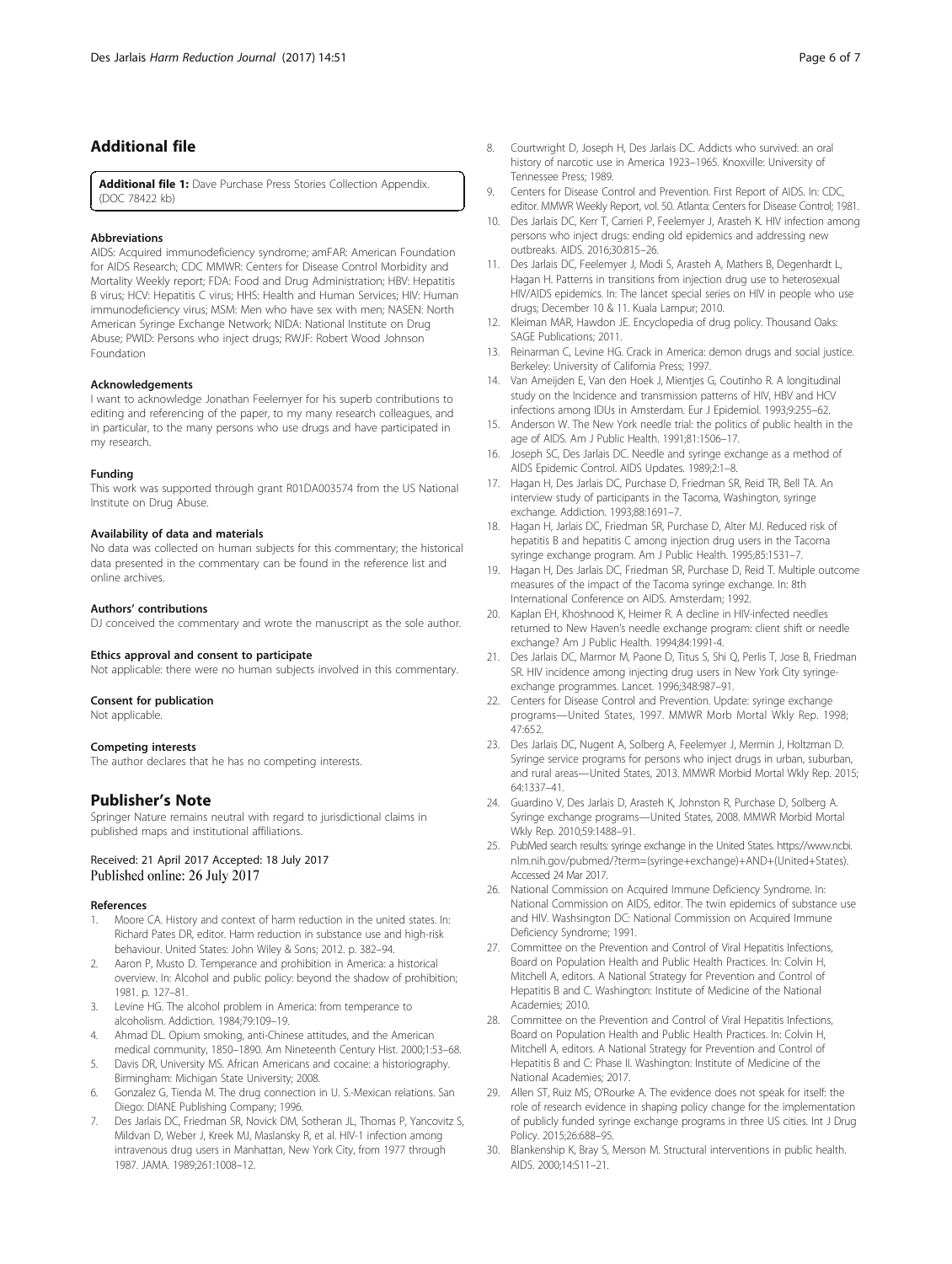## <span id="page-5-0"></span>Additional file

[Additional file 1:](dx.doi.org/10.1186/s12954-017-0178-6) Dave Purchase Press Stories Collection Appendix. (DOC 78422 kb)

#### Abbreviations

AIDS: Acquired immunodeficiency syndrome; amFAR: American Foundation for AIDS Research; CDC MMWR: Centers for Disease Control Morbidity and Mortality Weekly report; FDA: Food and Drug Administration; HBV: Hepatitis B virus; HCV: Hepatitis C virus; HHS: Health and Human Services; HIV: Human immunodeficiency virus; MSM: Men who have sex with men; NASEN: North American Syringe Exchange Network; NIDA: National Institute on Drug Abuse; PWID: Persons who inject drugs; RWJF: Robert Wood Johnson Foundation

#### Acknowledgements

I want to acknowledge Jonathan Feelemyer for his superb contributions to editing and referencing of the paper, to my many research colleagues, and in particular, to the many persons who use drugs and have participated in my research.

#### Funding

This work was supported through grant R01DA003574 from the US National Institute on Drug Abuse.

#### Availability of data and materials

No data was collected on human subjects for this commentary; the historical data presented in the commentary can be found in the reference list and online archives.

#### Authors' contributions

DJ conceived the commentary and wrote the manuscript as the sole author.

#### Ethics approval and consent to participate

Not applicable: there were no human subjects involved in this commentary.

#### Consent for publication

Not applicable.

#### Competing interests

The author declares that he has no competing interests.

#### Publisher's Note

Springer Nature remains neutral with regard to jurisdictional claims in published maps and institutional affiliations.

#### Received: 21 April 2017 Accepted: 18 July 2017 Published online: 26 July 2017

#### References

- 1. Moore CA. History and context of harm reduction in the united states. In: Richard Pates DR, editor. Harm reduction in substance use and high-risk behaviour. United States: John Wiley & Sons; 2012. p. 382–94.
- 2. Aaron P, Musto D. Temperance and prohibition in America: a historical overview. In: Alcohol and public policy: beyond the shadow of prohibition; 1981. p. 127–81.
- 3. Levine HG. The alcohol problem in America: from temperance to alcoholism. Addiction. 1984;79:109–19.
- 4. Ahmad DL. Opium smoking, anti-Chinese attitudes, and the American medical community, 1850–1890. Am Nineteenth Century Hist. 2000;1:53–68.
- 5. Davis DR, University MS. African Americans and cocaine: a historiography. Birmingham: Michigan State University; 2008.
- 6. Gonzalez G, Tienda M. The drug connection in U. S.-Mexican relations. San Diego: DIANE Publishing Company; 1996.
- 7. Des Jarlais DC, Friedman SR, Novick DM, Sotheran JL, Thomas P, Yancovitz S, Mildvan D, Weber J, Kreek MJ, Maslansky R, et al. HIV-1 infection among intravenous drug users in Manhattan, New York City, from 1977 through 1987. JAMA. 1989;261:1008–12.
- 8. Courtwright D, Joseph H, Des Jarlais DC. Addicts who survived: an oral history of narcotic use in America 1923–1965. Knoxville: University of Tennessee Press; 1989.
- 9. Centers for Disease Control and Prevention. First Report of AIDS. In: CDC, editor. MMWR Weekly Report, vol. 50. Atlanta: Centers for Disease Control; 1981.
- 10. Des Jarlais DC, Kerr T, Carrieri P, Feelemyer J, Arasteh K. HIV infection among persons who inject drugs: ending old epidemics and addressing new outbreaks. AIDS. 2016;30:815–26.
- 11. Des Jarlais DC, Feelemyer J, Modi S, Arasteh A, Mathers B, Degenhardt L, Hagan H. Patterns in transitions from injection drug use to heterosexual HIV/AIDS epidemics. In: The lancet special series on HIV in people who use drugs; December 10 & 11. Kuala Lampur; 2010.
- 12. Kleiman MAR, Hawdon JE. Encyclopedia of drug policy. Thousand Oaks: SAGE Publications; 2011.
- 13. Reinarman C, Levine HG. Crack in America: demon drugs and social justice. Berkeley: University of California Press; 1997.
- 14. Van Ameijden E, Van den Hoek J, Mientjes G, Coutinho R. A longitudinal study on the Incidence and transmission patterns of HIV, HBV and HCV infections among IDUs in Amsterdam. Eur J Epidemiol. 1993;9:255–62.
- 15. Anderson W. The New York needle trial: the politics of public health in the age of AIDS. Am J Public Health. 1991;81:1506–17.
- 16. Joseph SC, Des Jarlais DC. Needle and syringe exchange as a method of AIDS Epidemic Control. AIDS Updates. 1989;2:1–8.
- 17. Hagan H, Des Jarlais DC, Purchase D, Friedman SR, Reid TR, Bell TA. An interview study of participants in the Tacoma, Washington, syringe exchange. Addiction. 1993;88:1691–7.
- 18. Hagan H, Jarlais DC, Friedman SR, Purchase D, Alter MJ. Reduced risk of hepatitis B and hepatitis C among injection drug users in the Tacoma syringe exchange program. Am J Public Health. 1995;85:1531–7.
- 19. Hagan H, Des Jarlais DC, Friedman SR, Purchase D, Reid T. Multiple outcome measures of the impact of the Tacoma syringe exchange. In: 8th International Conference on AIDS. Amsterdam; 1992.
- 20. Kaplan EH, Khoshnood K, Heimer R. A decline in HIV-infected needles returned to New Haven's needle exchange program: client shift or needle exchange? Am J Public Health. 1994;84:1991-4.
- 21. Des Jarlais DC, Marmor M, Paone D, Titus S, Shi Q, Perlis T, Jose B, Friedman SR. HIV incidence among injecting drug users in New York City syringeexchange programmes. Lancet. 1996;348:987–91.
- 22. Centers for Disease Control and Prevention. Update: syringe exchange programs—United States, 1997. MMWR Morb Mortal Wkly Rep. 1998;  $47.652$
- 23. Des Jarlais DC, Nugent A, Solberg A, Feelemyer J, Mermin J, Holtzman D. Syringe service programs for persons who inject drugs in urban, suburban, and rural areas—United States, 2013. MMWR Morbid Mortal Wkly Rep. 2015; 64:1337–41.
- 24. Guardino V, Des Jarlais D, Arasteh K, Johnston R, Purchase D, Solberg A. Syringe exchange programs—United States, 2008. MMWR Morbid Mortal Wkly Rep. 2010;59:1488–91.
- 25. PubMed search results: syringe exchange in the United States. [https://www.ncbi.](https://www.ncbi.nlm.nih.gov/pubmed/?term=(syringe+exchange)+AND+(United+States)) [nlm.nih.gov/pubmed/?term=\(syringe+exchange\)+AND+\(United+States\).](https://www.ncbi.nlm.nih.gov/pubmed/?term=(syringe+exchange)+AND+(United+States)) Accessed 24 Mar 2017.
- 26. National Commission on Acquired Immune Deficiency Syndrome. In: National Commission on AIDS, editor. The twin epidemics of substance use and HIV. Washsington DC: National Commission on Acquired Immune Deficiency Syndrome; 1991.
- 27. Committee on the Prevention and Control of Viral Hepatitis Infections, Board on Population Health and Public Health Practices. In: Colvin H, Mitchell A, editors. A National Strategy for Prevention and Control of Hepatitis B and C. Washington: Institute of Medicine of the National Academies; 2010.
- 28. Committee on the Prevention and Control of Viral Hepatitis Infections, Board on Population Health and Public Health Practices. In: Colvin H, Mitchell A, editors. A National Strategy for Prevention and Control of Hepatitis B and C: Phase II. Washington: Institute of Medicine of the National Academies; 2017.
- 29. Allen ST, Ruiz MS, O'Rourke A. The evidence does not speak for itself: the role of research evidence in shaping policy change for the implementation of publicly funded syringe exchange programs in three US cities. Int J Drug Policy. 2015;26:688–95.
- 30. Blankenship K, Bray S, Merson M. Structural interventions in public health. AIDS. 2000;14:S11–21.